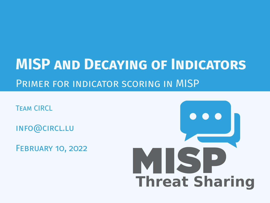# **MISP and Decaying of Indicators** Primer for indicator scoring in MISP

Team CIRCL

info@circl.lu

February 10, 2022

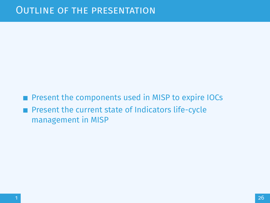**Present the components used in MISP to expire IOCs** Present the current state of Indicators life-cycle management in MISP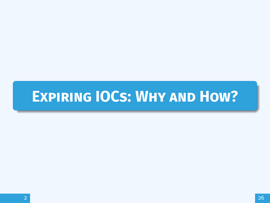# <span id="page-2-0"></span>**[Expiring IOCs: Why and How?](#page-2-0)**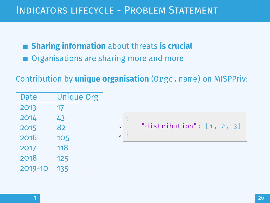**Sharing information** about threats **is crucial** ■ Organisations are sharing more and more

Contribution by **unique organisation** (Orgc.name) on MISPPriv:

| <b>Date</b> | <b>Unique Org</b> |
|-------------|-------------------|
| 2013        | 17                |
| 2014        | 43                |
| 2015        | 82                |
| 2016        | 105               |
| 2017        | 118               |
| 2018        | 125               |
| 2019-10     | 135               |
|             |                   |

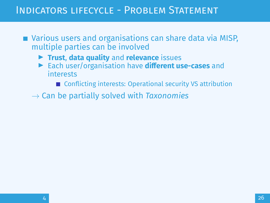# INDICATORS LIFFCYCLE - PROBLEM STATEMENT

- Various users and organisations can share data via MISP, multiple parties can be involved
	- ▶ Trust, data quality and relevance issues
	- **Each user/organisation have different use-cases** and interests
		- Conflicting interests: Operational security VS attribution
	- $\rightarrow$  Can be partially solved with *Taxonomies*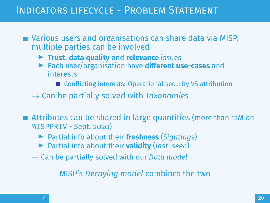# INDICATORS LIFFCYCLE - PROBLEM STATEMENT

■ Various users and organisations can share data via MISP, multiple parties can be involved

- ▶ Trust, data quality and relevance issues
- **Each user/organisation have different use-cases** and interests
	- Conflicting interests: Operational security VS attribution
- $\rightarrow$  Can be partially solved with *Taxonomies*
- Attributes can be shared in large quantities (more than 12M on MISPPRIV - Sept. 2020)
	- ▶ Partial info about their **freshness** (*Sightings*)
	- ▶ Partial info about their **validity** (last\_seen)
	- → Can be partially solved with our *Data model*

MISP's *Decaying model* combines the two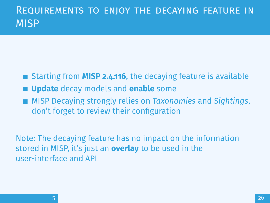# Requirements to enjoy the decaying feature in MISP

- Starting from **MISP 2.4.116**, the decaying feature is available
- **Update** decay models and **enable** some
- MISP Decaying strongly relies on *Taxonomies* and *Sightings*, don't forget to review their configuration

Note: The decaying feature has no impact on the information stored in MISP, it's just an **overlay** to be used in the user-interface and API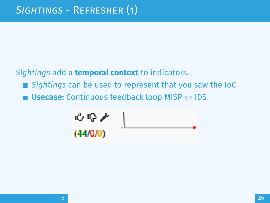*Sightings* add a **temporal context** to indicators.

- *Sightings* can be used to represent that you saw the IoC
- **Usecase:** Continuous feedback loop MISP  $\leftrightarrow$  IDS

$$
\begin{array}{c}\n\bullet \circ \bullet \\
\bullet \\
\hline\n\text{(44/0/0)}\n\end{array}
$$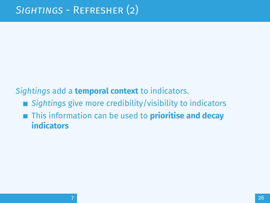## *Sightings* add a **temporal context** to indicators.

- *Sightings* give more credibility/visibility to indicators
- This information can be used to **prioritise and decay indicators**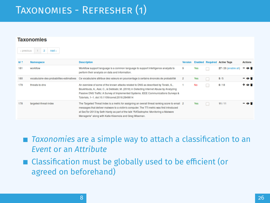# Taxonomies - Refresher (1)

| « previous      | Taxonomies<br>$\overline{2}$<br>$next *$ |                                                                                                                                                                                                                                                                                                                                              |                |           |    |                                     |                |
|-----------------|------------------------------------------|----------------------------------------------------------------------------------------------------------------------------------------------------------------------------------------------------------------------------------------------------------------------------------------------------------------------------------------------|----------------|-----------|----|-------------------------------------|----------------|
| $Id$ $\uparrow$ | Namespace                                | <b>Description</b>                                                                                                                                                                                                                                                                                                                           | Version        |           |    | <b>Enabled Required Active Tags</b> | <b>Actions</b> |
| 181             | workflow                                 | Workflow support language is a common language to support intelligence analysts to<br>perform their analysis on data and information.                                                                                                                                                                                                        | 9              | Yes       | ÷  | 27 / 26 (enable all)                | Θî             |
| 180             | vocabulaire-des-probabilites-estimatives | Ce vocabulaire attribue des valeurs en pourcentage à certains énoncés de probabilité                                                                                                                                                                                                                                                         | $\overline{c}$ | Yes       | n. | 5/5                                 | - 0 5          |
| 179             | threats-to-dns                           | An overview of some of the known attacks related to DNS as described by Torabi, S.,<br>Boukhtouta, A., Assi, C., & Debbabi, M. (2018) in Detecting Internet Abuse by Analyzing<br>Passive DNS Traffic: A Survey of Implemented Systems, IEEE Communications Surveys &<br>Tutorials, 1-1, doi:10,1109/comst.2018.2849614                      |                | <b>No</b> | г  | 0/18                                | + o i          |
| 178             | targeted-threat-index                    | The Targeted Threat Index is a metric for assigning an overall threat ranking score to email 2<br>messages that deliver malware to a victim's computer. The TTI metric was first introduced<br>at SecTor 2013 by Seth Hardy as part of the talk "RATastrophe: Monitoring a Malware<br>Menagerie" along with Katie Kleemola and Greg Wiseman. |                | Yes       | L. | 11/11                               | ΘĤ             |

■ *Taxonomies* are a simple way to attach a classification to an *Event* or an *Attribute*

 $\blacksquare$  Classification must be globally used to be efficient (or agreed on beforehand)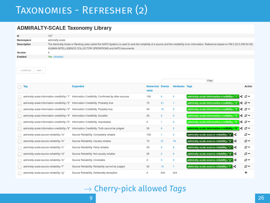# Taxonomies - Refresher (2)

#### **ADMIRALTY-SCALE Taxonomy Library**

| Id                                     | 127             |                                                                                                                                                                                         |                                  |                |                        |                                             |    |                |
|----------------------------------------|-----------------|-----------------------------------------------------------------------------------------------------------------------------------------------------------------------------------------|----------------------------------|----------------|------------------------|---------------------------------------------|----|----------------|
| <b>Namespace</b>                       | admiralty-scale |                                                                                                                                                                                         |                                  |                |                        |                                             |    |                |
| <b>Description</b>                     |                 | The Admiralty Scale or Ranking (also called the NATO System) is used to rank the reliability of a source and the credibility of an information. Reference based on FM 2-22.3 (FM 34-52) |                                  |                |                        |                                             |    |                |
|                                        |                 | HUMAN INTELLIGENCE COLLECTOR OPERATIONS and NATO documents.                                                                                                                             |                                  |                |                        |                                             |    |                |
| <b>Version</b>                         | 4               |                                                                                                                                                                                         |                                  |                |                        |                                             |    |                |
| <b>Enabled</b>                         | Yes (disable)   |                                                                                                                                                                                         |                                  |                |                        |                                             |    |                |
| « previous<br>$next -$                 |                 |                                                                                                                                                                                         |                                  |                |                        | Filter                                      |    |                |
| Tag<br>×                               |                 | <b>Expanded</b>                                                                                                                                                                         | <b>Numerical Events</b><br>value |                | <b>Attributes Tags</b> |                                             |    | <b>Action</b>  |
|                                        |                 | admiralty-scale:information-credibility="1" Information Credibility: Confirmed by other sources                                                                                         | 100                              | 6              | $\bf{0}$               | admiralty-scale:information-credibility="1" |    | l< ø−          |
|                                        |                 | admiralty-scale:information-credibility="2" Information Credibility: Probably true                                                                                                      | 75                               | 21             | 1                      | admiralty-scale:information-credibility="2" |    | $\mathbf{c}$ – |
|                                        |                 | admiralty-scale:information-credibility="3" Information Credibility: Possibly true                                                                                                      | 50                               | 16             | 5                      | admiralty-scale:information-credibility="3" | ĸ  | e –            |
|                                        |                 | admiralty-scale:information-credibility="4" Information Credibility: Doubtful                                                                                                           | 25                               | $\overline{2}$ | $\mathbf{0}$           | admiralty-scale:information-credibility="4" |    | - 13           |
|                                        |                 | admiralty-scale:information-credibility="5" Information Credibility: Improbable                                                                                                         | $\bf{0}$                         |                | $\mathbf{0}$           | admiralty-scale:information-credibility="5" | e  | s-             |
|                                        |                 | admiralty-scale:information-credibility="6" Information Credibility: Truth cannot be judged                                                                                             | 50                               | 9              | $\overline{c}$         | admiralty-scale:information-credibility="6" | ×. | $\alpha$ –     |
| admiralty-scale:source-reliability="a" |                 | Source Reliability: Completely reliable                                                                                                                                                 | 100                              |                | $\bf{0}$               | admiralty-scale:source-reliability="a"      |    | s-             |
| admiralty-scale:source-reliability="b" |                 | Source Reliability: Usually reliable                                                                                                                                                    | 75                               | 21             | 76                     | admiralty-scale:source-reliability="b"      |    | s-             |
| admiralty-scale:source-reliability="c" |                 | Source Reliability: Fairly reliable                                                                                                                                                     | 50                               | 9              | 8                      | admiralty-scale:source-reliability="c"      |    | c -            |
| admiralty-scale:source-reliability="d" |                 | Source Reliability: Not usually reliable                                                                                                                                                | 25                               | $\overline{2}$ | $\mathbf{0}$           | admiralty-scale:source-reliability="d"      |    | s-             |
| admiralty-scale:source-reliability="e" |                 | Source Reliability: Unreliable                                                                                                                                                          | $\mathbf{0}$                     | 0              | $\theta$               | admiralty-scale:source-reliability="e"      |    | s-             |
| admiralty-scale:source-reliability="f" |                 | Source Reliability: Reliability cannot be judged                                                                                                                                        | 50                               | 10             | $\overline{7}$         | admiralty-scale:source-reliability="f"      |    | s-             |
| admiralty-scale:source-reliability="g" |                 | Source Reliability: Deliberatly deceptive                                                                                                                                               | $\bullet$                        | N/A            | N/A                    |                                             |    | ۰              |

→ Cherry-pick allowed *Tags*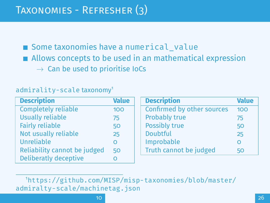Some taxonomies have a numerical value ■ Allows concepts to be used in an mathematical expression  $\rightarrow$  Can be used to prioritise IoCs

#### admirality-scale taxonomy<sup>1</sup>

| <b>Description</b>           | <b>Value</b> | <b>Description</b>         | <b>Value</b> |
|------------------------------|--------------|----------------------------|--------------|
| <b>Completely reliable</b>   | 100          | Confirmed by other sources | 100          |
| <b>Usually reliable</b>      | 75           | <b>Probably true</b>       | 75           |
| <b>Fairly reliable</b>       | 50           | <b>Possibly true</b>       | 50           |
| Not usually reliable         | 25           | <b>Doubtful</b>            | 25           |
| Unreliable                   | O            | Improbable                 | $\circ$      |
| Reliability cannot be judged | 50           | Truth cannot be judged     | 50           |
| <b>Deliberatly deceptive</b> | O            |                            |              |

<sup>1</sup>[https://github.com/MISP/misp-taxonomies/blob/master/](https://github.com/MISP/misp-taxonomies/blob/master/admiralty-scale/machinetag.json) [admiralty-scale/machinetag.json](https://github.com/MISP/misp-taxonomies/blob/master/admiralty-scale/machinetag.json)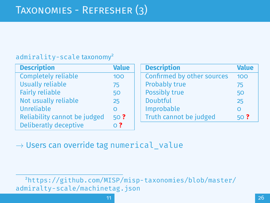#### admirality-scale taxonomy<sup>2</sup>

| <b>Description</b>           | <b>Value</b>     | <b>Description</b>         | <b>Value</b> |
|------------------------------|------------------|----------------------------|--------------|
| <b>Completely reliable</b>   | 100              | Confirmed by other sources | 100          |
| <b>Usually reliable</b>      | 75               | <b>Probably true</b>       | 75           |
| <b>Fairly reliable</b>       | 50               | Possibly true              | 50           |
| Not usually reliable         | 25               | <b>Doubtful</b>            | 25           |
| Unreliable                   | $\Omega$         | Improbable                 | $\Omega$     |
| Reliability cannot be judged | 50 <sup>2</sup>  | Truth cannot be judged     | 50?          |
| <b>Deliberatly deceptive</b> | $\overline{O}$ ? |                            |              |

 $\rightarrow$  Users can override tag numerical value

<sup>2</sup>[https://github.com/MISP/misp-taxonomies/blob/master/](https://github.com/MISP/misp-taxonomies/blob/master/admiralty-scale/machinetag.json) [admiralty-scale/machinetag.json](https://github.com/MISP/misp-taxonomies/blob/master/admiralty-scale/machinetag.json)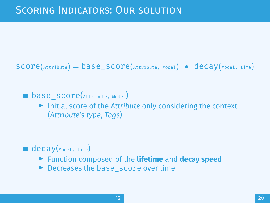$score(\text{Attribute}) = base_score(\text{Attribute}, \text{Model})$  • decay(Model, time)

**base** score(Attribute, Model)

▶ Initial score of the *Attribute* only considering the context (*Attribute's type*, *Tags*)

- $\blacksquare$  decay(Model, time)
	- ▶ Function composed of the **lifetime** and **decay speed**
	- $\blacktriangleright$  Decreases the base  $\blacktriangleright$  score over time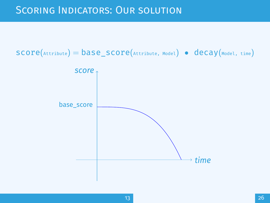# Scoring Indicators: Our solution

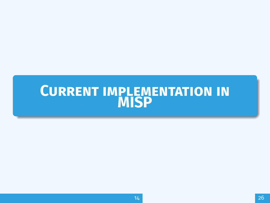# <span id="page-15-0"></span>**CURRENT IMPLEMENTATION IN [MISP](#page-15-0)**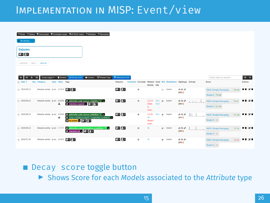# Implementation in MISP: Event/view

|                      |                                          | " Pivots " Galaxy + Event graph + Correlation graph + ATT&CK matrix " Attributes " Discussion                                                |                          |   |                                       |                                                                    |                       |                                               |                |
|----------------------|------------------------------------------|----------------------------------------------------------------------------------------------------------------------------------------------|--------------------------|---|---------------------------------------|--------------------------------------------------------------------|-----------------------|-----------------------------------------------|----------------|
| x 45: Decayi         |                                          |                                                                                                                                              |                          |   |                                       |                                                                    |                       |                                               |                |
| <b>Galaxies</b>      |                                          |                                                                                                                                              |                          |   |                                       |                                                                    |                       |                                               |                |
| $0 + 2 +$            |                                          |                                                                                                                                              |                          |   |                                       |                                                                    |                       |                                               |                |
| « previous<br>next » | view all                                 |                                                                                                                                              |                          |   |                                       |                                                                    |                       |                                               |                |
|                      |                                          |                                                                                                                                              |                          |   |                                       |                                                                    |                       |                                               |                |
| Ξ                    | Deleted<br>Scope toggle *<br>×           | Context T Related Tags<br><b>Ed Decay score</b>                                                                                              | $T$ Fittering tool $(1)$ |   |                                       |                                                                    |                       | Enter value to search                         | $Q \times$     |
| <b>Date 1</b><br>Ora | Type Value Tags<br>Category              |                                                                                                                                              | <b>Galaxies</b>          |   | Events hits                           | Comment Correlate Related Feed IDS Distribution Sightings Activity |                       | Score                                         | <b>Actions</b> |
| 2019-09-12           | Network activity ip-src 5.5.5.5 C + A +  |                                                                                                                                              | $8 + 2 +$                | × |                                       | m Inherit                                                          | 69 F<br>(0, 0, 0)     | NIDS Simple Decaying<br>65.26                 | 0000           |
|                      |                                          |                                                                                                                                              |                          |   |                                       |                                                                    |                       | Model 5 79.88                                 |                |
| 2019-08-13           | А                                        | Network activity ip-src 8.8.8.8 C admiralty-scale:source-reliability="a" x<br>$\bullet$ retention: expired $\bullet$ $\bullet$ + $\bullet$ + | $0 + 2 +$                | × | 1222 S1:1 (a) Inherit<br>S1:2<br>Show |                                                                    | 白のチ<br>(S/010)        | NIDS Simple Decaying<br>54.6<br>Model 5 52.69 | 会計は言           |
|                      |                                          |                                                                                                                                              |                          |   | $11\,$<br>more                        |                                                                    |                       |                                               |                |
| 2019-08-13           | Network activity lip-src 9.9.9.9<br>А    | 8 admiralty-scale:source-reliability="c" x<br>C misp:confidence-level="completely-confident" is                                              | $0 + 2 +$                | × | 1319<br>28                            | S1:1 (a) Inherit                                                   | <b>098</b><br>(4/1/0) | 37.43<br>NIDS Simple Decaying                 | ● 音 尾 音        |
|                      |                                          | $\frac{1}{2}$ tip:amber $\frac{1}{2}$ $\frac{1}{2}$ +                                                                                        |                          |   | Show <sub>6</sub><br>more             |                                                                    |                       | Model 5 0                                     |                |
| 2019-08-13           | Network activity ip-src 7.7.7.7          | community-scale:information-credibility="4" x<br>$\bullet$ retention:2d x $\bullet$ + $\bullet$ +                                            | $8 + 2 +$                | ø | 41                                    | @ Inherit                                                          | めやと<br>(3/0/0)        | 37.41<br>NIDS Simple Decaying                 | ●盲 区音          |
|                      |                                          |                                                                                                                                              |                          |   |                                       |                                                                    |                       | Model 5 0                                     |                |
| $2019-07-18$         | Network activity ip-src 6.6.6.6 Can P-13 |                                                                                                                                              | $8 + 2 +$                | × | 41                                    | @ Inherit                                                          | めのと<br>(0/010)        | 23.31<br>NIDS Simple Decaying                 | 900            |
|                      |                                          |                                                                                                                                              |                          |   |                                       |                                                                    |                       | Model 5 0                                     |                |

Decay score toggle button

▶ Shows Score for each *Models* associated to the *Attribute* type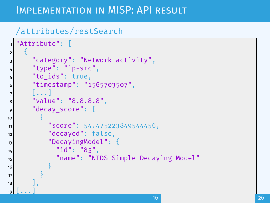# IMPI FMENTATION IN MISP: API RESULT

#### /attributes/restSearch

```
"Attribute": [
 2 {
3 "category": "Network activity",
|4| "type": "ip-src",
\mathsf{s} \mathsf{t}_0 \mathsf{t}_1 \mathsf{t}_2 \mathsf{t}_3 \mathsf{t}_4 \mathsf{t}_5 \mathsf{t}_7 \mathsf{t}_8 \mathsf{t}_9 \mathsf{t}_9 \mathsf{t}_16 "timestamp": "1565703507",
\mathbf{z} [...]
8 "value": "8.8.8.8",
9 "decay_score": [
10 \vert\text{11} "score": 54.475223849544456,
12 "decayed": false,
13 TDecayingModel": {
\frac{1}{4} "id": "85",
15 "name": "NIDS Simple Decaying Model"
16 }
17 }
18
19 \lceil \dots \rceil
```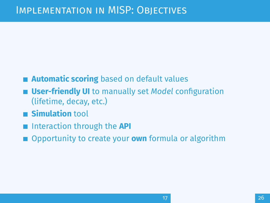# Implementation in MISP: Objectives

- **Automatic scoring** based on default values
- **User-friendly UI** to manually set *Model* configuration (lifetime, decay, etc.)
- **Simulation** tool
- Interaction through the **API**
- Opportunity to create your **own** formula or algorithm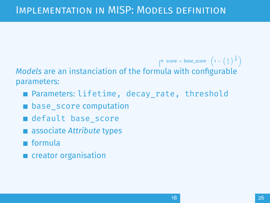# IMPI EMENTATION IN MISP: MODELS DEFINITION

 $\Rightarrow$  *score* = *base\_score* ·  $\left(1 - \left(\frac{t}{\tau}\right)^{\frac{1}{\delta}}\right)$ *Models* are an instanciation of the formula with configurable parameters:

- **Parameters: lifetime, decay rate, threshold**
- **E** base score computation
- default base score
- associate *Attribute* types
- **■** formula
- **n** creator organisation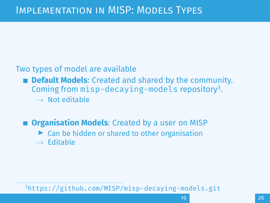### Two types of model are available

- **Default Models:** Created and shared by the community. Coming from misp-decaying-models repository<sup>3</sup>.
	- $\rightarrow$  Not editable

# **n** Organisation Models: Created by a user on MISP

- $\triangleright$  Can be hidden or shared to other organisation
- $\rightarrow$  Editable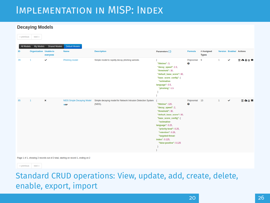# IMPI EMENTATION IN MISP: INDEX

#### **Decaying Models**

|            | « hiemona linext »            |                      |                                    |                                                                         |                                                                                                                                                                                                                                                                         |                    |                            |   |                         |       |
|------------|-------------------------------|----------------------|------------------------------------|-------------------------------------------------------------------------|-------------------------------------------------------------------------------------------------------------------------------------------------------------------------------------------------------------------------------------------------------------------------|--------------------|----------------------------|---|-------------------------|-------|
| All Models | My Models                     | <b>Shared Models</b> | <b>Default Models</b>              |                                                                         |                                                                                                                                                                                                                                                                         |                    |                            |   |                         |       |
| ID.        | <b>Organization</b> Usable to | everyone             | Name                               | <b>Description</b>                                                      | Parameters { }                                                                                                                                                                                                                                                          | <b>Formula</b>     | # Assigned<br><b>Types</b> |   | Version Enabled Actions |       |
| 29         |                               | ✓                    | Phishing model                     | Simple model to rapidly decay phishing website.                         | "lifetime": 3.<br>"decay_speed": 2.3,<br>"threshold": 30.<br>"default base score": 80,<br>"base_score_config": {<br>"estimative-<br>language": 0.5,<br>"phishing": 0.5                                                                                                  | Polynomial 9<br>ø  |                            | ٠ | $\checkmark$            | 国各音区用 |
| 85         | л.                            | $\pmb{\times}$       | NIDS Simple Decaying Model<br>MISP | Simple decaying model for Network Intrusion Detection System<br>(NIDS). | "lifetime": 120,<br>"decay_speed": 2,<br>"threshold": 30.<br>"default base score": 80,<br>"base score config": {<br>"estimative-<br>language": 0.25.<br>"priority-level": 0.25,<br>"retention": 0.25.<br>"targeted-threat-<br>index": 0.125.<br>"false-positive": 0.125 | Polynomial 13<br>Q |                            | ٠ | ✓                       | 日本区川  |

Page 1 of 1, showing 2 records out of 2 total, starting on record 1, ending on 2

« previous next »

#### Standard CRUD operations: View, update, add, create, delete, enable, export, import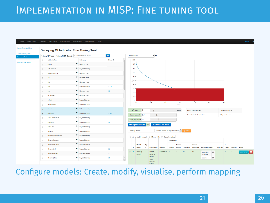# IMPI EMENTATION IN MISP: FINE TUNING TOOL



Configure models: Create, modify, visualise, perform mapping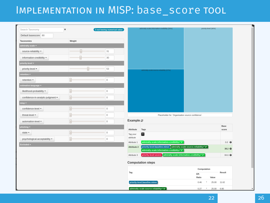# Implementation in MISP: base\_score tool

| $\pmb{\times}$<br>Search Taxonomy |                                        | 3 not having numerical value |                            | admiralty-scale information-credibility (26%)                                                                       | priority-level (46%)            |               |
|-----------------------------------|----------------------------------------|------------------------------|----------------------------|---------------------------------------------------------------------------------------------------------------------|---------------------------------|---------------|
| Default basescore 80              |                                        |                              |                            |                                                                                                                     |                                 |               |
| Taxonomies                        | Weight                                 |                              |                            |                                                                                                                     |                                 |               |
| admiralty-scale =                 |                                        |                              |                            |                                                                                                                     |                                 |               |
| source-reliability -              | $\overline{\Xi}$                       | 31                           |                            |                                                                                                                     |                                 |               |
| information-credibility -         | Đ                                      | $30\,$                       |                            |                                                                                                                     |                                 |               |
| priority-level =                  |                                        |                              |                            |                                                                                                                     |                                 |               |
| priority-level -                  | ŧ                                      | 53                           |                            | schrinalty-scale:source-reliability (27%)                                                                           |                                 |               |
| retention $\star$                 |                                        |                              |                            |                                                                                                                     |                                 |               |
| retention -                       | $\begin{bmatrix} 1 \\ 2 \end{bmatrix}$ | $\circ$                      |                            |                                                                                                                     |                                 |               |
| stimative-language =              |                                        |                              |                            |                                                                                                                     |                                 |               |
| likelihood-probability +          | E                                      | $\,0\,$                      |                            |                                                                                                                     |                                 |               |
| confidence-in-analytic-judgment = | $\left  \frac{1}{n} \right $           | $\circ$                      |                            |                                                                                                                     |                                 |               |
| nisp <del>-</del>                 |                                        |                              |                            |                                                                                                                     |                                 |               |
| confidence-level -                | $\mathbb{E}$                           | $\,0\,$                      |                            |                                                                                                                     |                                 |               |
| threat-level -                    | E                                      | $\circ$                      |                            | Placeholder for 'Organisation source confidence'                                                                    |                                 |               |
| automation-level -                | $\mathbb{R}$                           | $\,0\,$                      | Example @                  |                                                                                                                     |                                 |               |
| phishing *                        |                                        |                              | Attribute                  | Tags                                                                                                                |                                 | Base<br>score |
| state -                           | $\mathbb{E}$                           | $\,0\,$                      | Tag your                   | E                                                                                                                   |                                 |               |
| psychological-acceptability -     | $\Xi$                                  | $\circ$                      | attribute                  |                                                                                                                     |                                 |               |
| Excluded A                        |                                        |                              | Attribute 1<br>Attribute 2 | admiralty-scale:information-credibility="5"<br>priority-level:baseline-minor admiralty-scale:source-reliability="d" |                                 | $0.0$ $\odot$ |
|                                   |                                        |                              |                            | admiralty-scale:information-credibility="2"                                                                         |                                 | 38.2 <b>◎</b> |
|                                   |                                        |                              | Attribute 3                | priority-level:severe admiralty-scale:information-credibility="2"                                                   |                                 | 84.6 <b>◎</b> |
|                                   |                                        |                              |                            | <b>Computation steps</b>                                                                                            |                                 |               |
|                                   |                                        |                              |                            | Computation                                                                                                         |                                 |               |
|                                   |                                        |                              | Tag                        |                                                                                                                     | Eff.                            | Result        |
|                                   |                                        |                              |                            | priority-level:baseline-minor                                                                                       | Ratio<br>Value<br>0.46<br>25.00 | 11.62         |
|                                   |                                        |                              |                            | admiralty ecaleceource reliability="d"                                                                              | $0.27 +$<br>25.00               | 6.80          |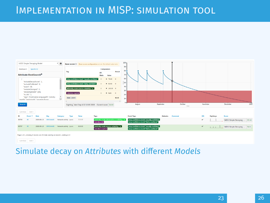# Implementation in MISP: simulation tool



#### Simulate decay on *Attributes* with different *Models*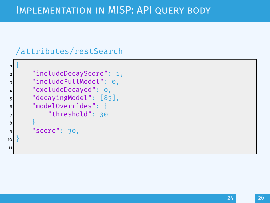# Implementation in MISP: API query body

#### /attributes/restSearch

```
1 {
 2 "includeDecayScore": 1,
 3 = "includeFullModel": 0,
 4 "excludeDecayed": 0,
 5 "decayingModel": [85],
 6 "modelOverrides": {
 7 \frac{1}{2} \frac{1}{20} \frac{1}{20} \frac{1}{20} \frac{1}{20} \frac{1}{20} \frac{1}{20} \frac{1}{20} \frac{1}{20} \frac{1}{20} \frac{1}{20} \frac{1}{20} \frac{1}{20} \frac{1}{20} \frac{1}{20} \frac{1}{20} \frac{1}{20} \frac{1}{20} \frac{1}{20} \frac{1}{20}8 }
\vert "score": 30,
10 }
11
```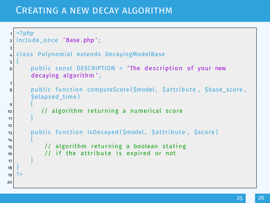### Creating a new decay algorithm

```
1 <?php
2 include once 'Base.php';
3
  class Polynomial extends DecayingModelBase
56 public const DESCRIPTION = 'The description of your new
      decaying algorithm':
7
8 public function computeScore ($model, $attribute, $base_score,
      $elapsed_time )
 9 {
10 // algorithm returning a numerical score
11 }
12
13 public function isDecayed ($model, $attribute, $score)
14\frac{1}{15} // algorithm returning a boolean stating
16 // if the attribute is expired or not
17 }
18 }
19
20
```